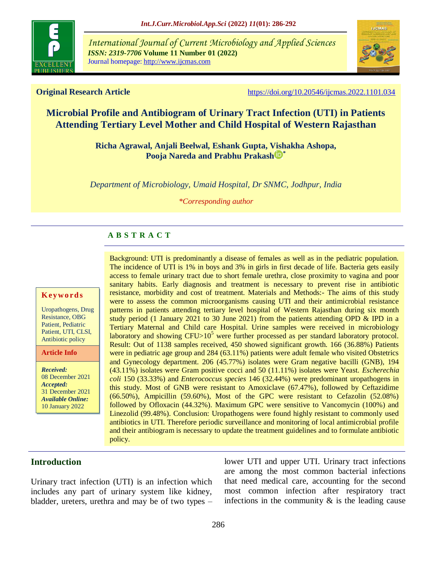

*International Journal of Current Microbiology and Applied Sciences ISSN: 2319-7706* **Volume 11 Number 01 (2022)**  Journal homepage: http://www.ijcmas.com



**Original Research Article** <https://doi.org/10.20546/ijcmas.2022.1101.034>

# **Microbial Profile and Antibiogram of Urinary Tract Infection (UTI) in Patients Attending Tertiary Level Mother and Child Hospital of Western Rajasthan**

**Richa Agrawal, Anjali Beelwal, Eshank Gupta, Vishakha Ashopa, Pooja Nareda and [Prabhu Prakash](https://orcid.org/0000-0003-3649-7840) \***

*Department of Microbiology, Umaid Hospital, Dr SNMC, Jodhpur, India*

*\*Corresponding author*

### **A B S T R A C T**

#### **K ey w o rd s**

Uropathogens, Drug Resistance, OBG Patient, Pediatric Patient, UTI, CLSI, Antibiotic policy

**Article Info**

*Received:*  08 December 2021 *Accepted:*  31 December 2021 *Available Online:* 10 January 2022

Background: UTI is predominantly a disease of females as well as in the pediatric population. The incidence of UTI is 1% in boys and 3% in girls in first decade of life. Bacteria gets easily access to female urinary tract due to short female urethra, close proximity to vagina and poor sanitary habits. Early diagnosis and treatment is necessary to prevent rise in antibiotic resistance, morbidity and cost of treatment. Materials and Methods:- The aims of this study were to assess the common microorganisms causing UTI and their antimicrobial resistance patterns in patients attending tertiary level hospital of Western Rajasthan during six month study period (1 January 2021 to 30 June 2021) from the patients attending OPD & IPD in a Tertiary Maternal and Child care Hospital. Urine samples were received in microbiology laboratory and showing  $CFU>10^5$  were further processed as per standard laboratory protocol. Result: Out of 1138 samples received, 450 showed significant growth. 166 (36.88%) Patients were in pediatric age group and 284 (63.11%) patients were adult female who visited Obstetrics and Gynecology department. 206 (45.77%) isolates were Gram negative bacilli (GNB), 194 (43.11%) isolates were Gram positive cocci and 50 (11.11%) isolates were Yeast. *Escherechia coli* 150 (33.33%) and *Enterococcus species* 146 (32.44%) were predominant uropathogens in this study. Most of GNB were resistant to Amoxiclave (67.47%), followed by Ceftazidime (66.50%), Ampicillin (59.60%), Most of the GPC were resistant to Cefazolin (52.08%) followed by Ofloxacin (44.32%). Maximum GPC were sensitive to Vancomycin (100%) and Linezolid (99.48%). Conclusion: Uropathogens were found highly resistant to commonly used antibiotics in UTI. Therefore periodic surveillance and monitoring of local antimicrobial profile and their antibiogram is necessary to update the treatment guidelines and to formulate antibiotic policy.

#### **Introduction**

Urinary tract infection (UTI) is an infection which includes any part of urinary system like kidney, bladder, ureters, urethra and may be of two types –

lower UTI and upper UTI. Urinary tract infections are among the most common bacterial infections that need medical care, accounting for the second most common infection after respiratory tract infections in the community  $\&$  is the leading cause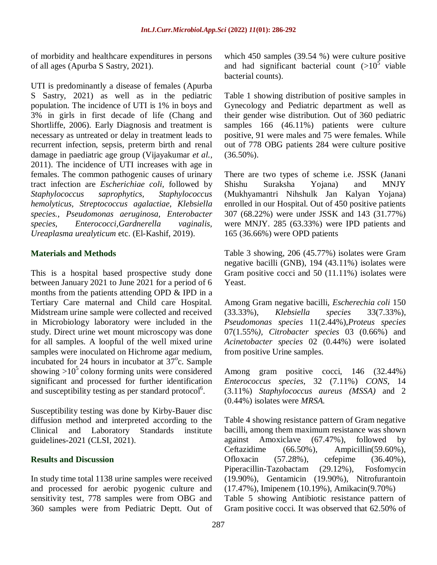of morbidity and healthcare expenditures in persons of all ages (Apurba S Sastry, 2021).

UTI is predominantly a disease of females (Apurba S Sastry, 2021) as well as in the pediatric population. The incidence of UTI is 1% in boys and 3% in girls in first decade of life (Chang and Shortliffe, 2006). Early Diagnosis and treatment is necessary as untreated or delay in treatment leads to recurrent infection, sepsis, preterm birth and renal damage in paediatric age group (Vijayakumar *et al.,* 2011). The incidence of UTI increases with age in females. The common pathogenic causes of urinary tract infection are *Escherichiae coli,* followed by *Staphylococcus saprophytics, Staphylococcus hemolyticus, Streptococcus agalactiae, Klebsiella species., Pseudomonas aeruginosa, Enterobacter species, Enterococci,Gardnerella vaginalis, Ureaplasma urealyticum* etc. (El-Kashif, 2019).

#### **Materials and Methods**

This is a hospital based prospective study done between January 2021 to June 2021 for a period of 6 months from the patients attending OPD & IPD in a Tertiary Care maternal and Child care Hospital. Midstream urine sample were collected and received in Microbiology laboratory were included in the study. Direct urine wet mount microscopy was done for all samples. A loopful of the well mixed urine samples were inoculated on Hichrome agar medium, incubated for 24 hours in incubator at  $37^{\circ}$ c. Sample showing  $>10^5$  colony forming units were considered significant and processed for further identification and susceptibility testing as per standard protocol<sup>6</sup>.

Susceptibility testing was done by Kirby-Bauer disc diffusion method and interpreted according to the Clinical and Laboratory Standards institute guidelines-2021 (CLSI, 2021).

#### **Results and Discussion**

In study time total 1138 urine samples were received and processed for aerobic pyogenic culture and sensitivity test, 778 samples were from OBG and 360 samples were from Pediatric Deptt. Out of which 450 samples (39.54 %) were culture positive and had significant bacterial count  $(>10^5$  viable bacterial counts).

Table 1 showing distribution of positive samples in Gynecology and Pediatric department as well as their gender wise distribution. Out of 360 pediatric samples 166 (46.11%) patients were culture positive, 91 were males and 75 were females. While out of 778 OBG patients 284 were culture positive (36.50%).

There are two types of scheme i.e. JSSK (Janani Shishu Suraksha Yojana) and MNJY (Mukhyamantri Nihshulk Jan Kalyan Yojana) enrolled in our Hospital. Out of 450 positive patients 307 (68.22%) were under JSSK and 143 (31.77%) were MNJY. 285 (63.33%) were IPD patients and 165 (36.66%) were OPD patients

Table 3 showing, 206 (45.77%) isolates were Gram negative bacilli (GNB), 194 (43.11%) isolates were Gram positive cocci and 50 (11.11%) isolates were Yeast.

Among Gram negative bacilli*, Escherechia coli* 150 (33.33%), *Klebsiella species* 33(7.33%), *Pseudomonas species* 11(2.44%),*Proteus species* 07(1.55%*), Citrobacter species* 03 (0.66%) and *Acinetobacter species* 02 (0.44%) were isolated from positive Urine samples.

Among gram positive cocci, 146 (32.44%) *Enterococcus species*, 32 (7.11%) *CONS,* 14 (3.11%) *Staphylococcus aureus (MSSA)* and 2 (0.44%) isolates were *MRSA.*

Table 4 showing resistance pattern of Gram negative bacilli, among them maximum resistance was shown against Amoxiclave (67.47%), followed by Ceftazidime (66.50%), Ampicillin(59.60%), Ofloxacin (57.28%), cefepime (36.40%), Piperacillin-Tazobactam (29.12%), Fosfomycin (19.90%), Gentamicin (19.90%), Nitrofurantoin (17.47%), Imipenem (10.19%), Amikacin(9.70%) Table 5 showing Antibiotic resistance pattern of Gram positive cocci. It was observed that 62.50% of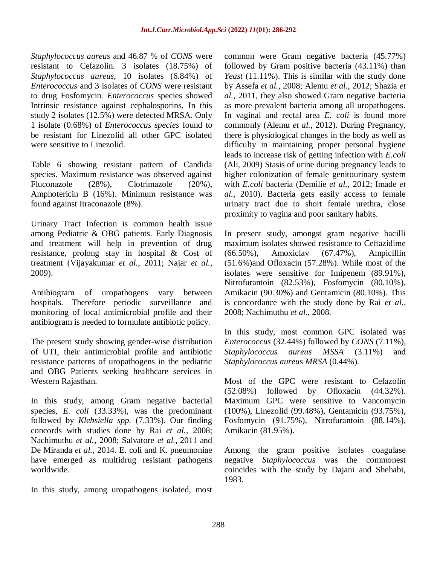*Staphylococcus aureus* and 46.87 % of *CONS* were resistant to Cefazolin. 3 isolates (18.75%) of *Staphylococcus aureus,* 10 isolates (6.84%) of *Enterococcus* and 3 isolates of *CONS* were resistant to drug Fosfomycin*. Enterococcus* species showed Intrinsic resistance against cephalosporins. In this study 2 isolates (12.5%) were detected MRSA. Only 1 isolate (0.68%) of *Enterococcus species* found to be resistant for Linezolid all other GPC isolated were sensitive to Linezolid.

Table 6 showing resistant pattern of Candida species. Maximum resistance was observed against Fluconazole (28%), Clotrimazole (20%), Amphotericin B (16%). Minimum resistance was found against Itraconazole (8%).

Urinary Tract Infection is common health issue among Pediatric & OBG patients. Early Diagnosis and treatment will help in prevention of drug resistance, prolong stay in hospital & Cost of treatment (Vijayakumar *et al.,* 2011; Najar *et al.,* 2009).

Antibiogram of uropathogens vary between hospitals. Therefore periodic surveillance and monitoring of local antimicrobial profile and their antibiogram is needed to formulate antibiotic policy.

The present study showing gender-wise distribution of UTI, their antimicrobial profile and antibiotic resistance patterns of uropathogens in the pediatric and OBG Patients seeking healthcare services in Western Rajasthan.

In this study, among Gram negative bacterial species, *E. coli* (33.33%), was the predominant followed by *Klebsiella spp.* (7.33%). Our finding concords with studies done by Rai *et al.,* 2008; Nachimuthu *et al.,* 2008; Salvatore *et al.,* 2011 and De Miranda *et al.,* 2014. E. coli and K. pneumoniae have emerged as multidrug resistant pathogens worldwide.

In this study, among uropathogens isolated, most

common were Gram negative bacteria (45.77%) followed by Gram positive bacteria (43.11%) than *Yeast* (11.11%). This is similar with the study done by Assefa *et al.,* 2008; Alemu *et al.,* 2012; Shazia *et al.,* 2011, they also showed Gram negative bacteria as more prevalent bacteria among all uropathogens. In vaginal and rectal area *E. coli* is found more commonly (Alemu *et al.,* 2012). During Pregnancy, there is physiological changes in the body as well as difficulty in maintaining proper personal hygiene leads to increase risk of getting infection with *E.coli*  (Ali, 2009) Stasis of urine during pregnancy leads to higher colonization of female genitourinary system with *E.coli* bacteria (Demilie *et al.,* 2012; Imade *et al.,* 2010). Bacteria gets easily access to female urinary tract due to short female urethra, close proximity to vagina and poor sanitary habits.

In present study, amongst gram negative bacilli maximum isolates showed resistance to Ceftazidime (66.50%), Amoxiclav (67.47%), Ampicillin (51.6%)and Ofloxacin (57.28%). While most of the isolates were sensitive for Imipenem (89.91%), Nitrofurantoin (82.53%), Fosfomycin (80.10%), Amikacin (90.30%) and Gentamicin (80.10%). This is concordance with the study done by Rai *et al.,* 2008; Nachimuthu *et al.,* 2008.

In this study, most common GPC isolated was *Enterococcus* (32.44%) followed by *CONS* (7.11%), *Staphylococcus aureus MSSA* (3.11%) and *Staphylococcus aureu*s *MRSA* (0.44%).

Most of the GPC were resistant to Cefazolin (52.08%) followed by Ofloxacin (44.32%). Maximum GPC were sensitive to Vancomycin (100%), Linezolid (99.48%), Gentamicin (93.75%), Fosfomycin (91.75%), Nitrofurantoin (88.14%), Amikacin (81.95%).

Among the gram positive isolates coagulase negative *Staphylococcus* was the commonest coincides with the study by Dajani and Shehabi, 1983.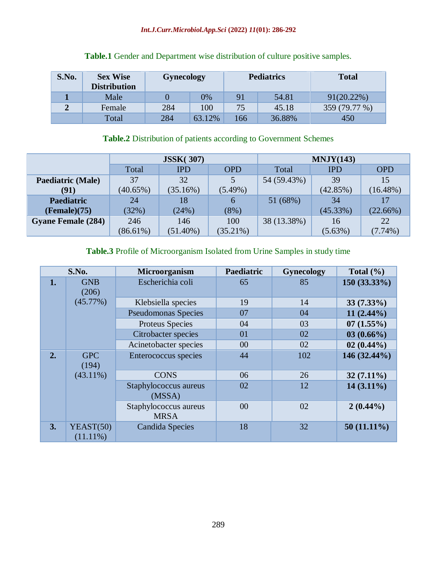#### *Int.J.Curr.Microbiol.App.Sci* **(2022)** *11***(01): 286-292**

| S.No. | <b>Sex Wise</b><br><b>Distribution</b> | <b>Gynecology</b> |        | <b>Pediatrics</b> |        | <b>Total</b>  |
|-------|----------------------------------------|-------------------|--------|-------------------|--------|---------------|
|       | Male                                   |                   | 0%     | 91                | 54.81  | $91(20.22\%)$ |
|       | Female                                 | 284               | 100    | 75                | 45.18  | 359 (79.77 %) |
|       | Total                                  | 284               | 63.12% | 166               | 36.88% | 450           |

### **Table.1** Gender and Department wise distribution of culture positive samples.

## **Table.2** Distribution of patients according to Government Schemes

|                           | <b>JSSK(307)</b> |             |             | MNJY(143)   |            |             |
|---------------------------|------------------|-------------|-------------|-------------|------------|-------------|
|                           | Total            | <b>IPD</b>  | <b>OPD</b>  | Total       | <b>IPD</b> | <b>OPD</b>  |
| <b>Paediatric (Male)</b>  | 37               | 32          |             | 54 (59.43%) | 39         | 15          |
| (91)                      | $(40.65\%)$      | (35.16%)    | $(5.49\%)$  |             | (42.85%)   | $(16.48\%)$ |
| <b>Paediatric</b>         | 24               | 18          | 6           | 51 (68%)    | 34         |             |
| (Female)(75)              | (32%)            | (24%)       | (8%)        |             | (45.33%)   | (22.66%)    |
| <b>Gyane Female (284)</b> | 246              | 146         | 100         | 38 (13.38%) | 16         | 22          |
|                           | $(86.61\%)$      | $(51.40\%)$ | $(35.21\%)$ |             | (5.63%)    | $(7.74\%)$  |

### **Table.3** Profile of Microorganism Isolated from Urine Samples in study time

| S.No. |                          | Microorganism                        | Paediatric | <b>Gynecology</b> | Total $(\% )$  |
|-------|--------------------------|--------------------------------------|------------|-------------------|----------------|
| 1.    | <b>GNB</b><br>(206)      | Escherichia coli                     |            | 85                | $150(33.33\%)$ |
|       | (45.77%)                 | Klebsiella species                   | 19         | 14                | $33(7.33\%)$   |
|       |                          | <b>Pseudomonas Species</b>           | 07         | 04                | $11(2.44\%)$   |
|       |                          | Proteus Species                      | 04         | 03                | 07(1.55%)      |
|       |                          | Citrobacter species                  | 01         | 02                | $03(0.66\%)$   |
|       |                          | Acinetobacter species                | 00         | 02                | $02(0.44\%)$   |
| 2.    | <b>GPC</b><br>(194)      | Enterococcus species                 | 44         | 102               | 146 (32.44%)   |
|       | $(43.11\%)$              | <b>CONS</b>                          | 06         | 26                | $32(7.11\%)$   |
|       |                          | Staphylococcus aureus<br>(MSSA)      | 02         | 12                | $14(3.11\%)$   |
|       |                          | Staphylococcus aureus<br><b>MRSA</b> | 00         | 02                | $2(0.44\%)$    |
| 3.    | YEAST(50)<br>$(11.11\%)$ | Candida Species                      | 18         | 32                | $50(11.11\%)$  |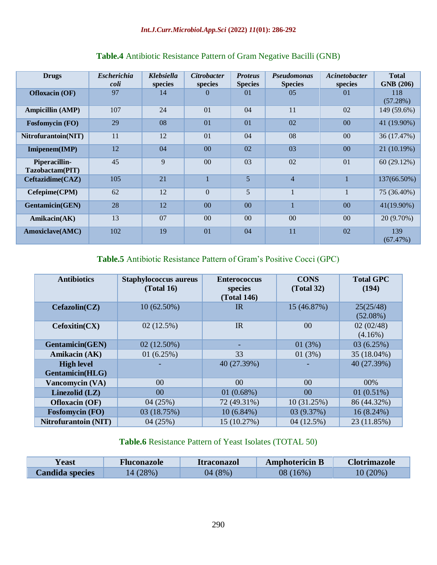| <b>Drugs</b>                     | <b>Escherichia</b><br>coli | <b>Klebsiella</b><br>species | <b>Citrobacter</b><br>species | <b>Proteus</b><br><b>Species</b> | <b>Pseudomonas</b><br><b>Species</b> | Acinetobacter<br>species | <b>Total</b><br><b>GNB</b> (206) |
|----------------------------------|----------------------------|------------------------------|-------------------------------|----------------------------------|--------------------------------------|--------------------------|----------------------------------|
| <b>Ofloxacin (OF)</b>            | 97                         | 14                           | 0                             | 01                               | 05                                   | $\Omega$                 | 118<br>(57.28%)                  |
| <b>Ampicillin (AMP)</b>          | 107                        | 24                           | 01                            | 04                               | 11                                   | 02                       | 149 (59.6%)                      |
| <b>Fosfomycin</b> (FO)           | 29                         | 08                           | 01                            | $\overline{01}$                  | 02                                   | 00                       | 41 (19.90%)                      |
| Nitrofurantoin(NIT)              | 11                         | 12                           | 01                            | 04                               | 08                                   | 0 <sup>0</sup>           | 36 (17.47%)                      |
| Imipenem(IMP)                    | 12                         | 04                           | 00                            | 02                               | 03                                   | 00                       | 21 (10.19%)                      |
| Piperacillin-<br>Tazobactam(PIT) | 45                         | 9                            | 0 <sup>0</sup>                | 03                               | 02                                   | 01                       | 60(29.12%)                       |
| Ceftazidime(CAZ)                 | 105                        | 21                           | $\overline{1}$                | 5                                | $\overline{4}$                       |                          | 137(66.50%)                      |
| Cefepime(CPM)                    | 62                         | 12                           | $\theta$                      | $\mathfrak{H}$                   |                                      |                          | 75 (36.40%)                      |
| <b>Gentamicin(GEN)</b>           | 28                         | 12                           | 0 <sup>0</sup>                | 00                               |                                      | 0 <sup>0</sup>           | 41(19.90%)                       |
| Amikacin(AK)                     | 13                         | 07                           | 0 <sup>0</sup>                | 0 <sup>0</sup>                   | 0 <sup>0</sup>                       | 0 <sup>0</sup>           | 20 (9.70%)                       |
| Amoxiclave(AMC)                  | 102                        | 19                           | 01                            | 04                               | 11                                   | 02                       | 139<br>(67.47%)                  |

## **Table.4** Antibiotic Resistance Pattern of Gram Negative Bacilli (GNB)

## **Table.5** Antibiotic Resistance Pattern of Gram's Positive Cocci (GPC)

| <b>Antibiotics</b>                   | <b>Staphylococcus aureus</b><br>(Total 16) | <b>Enterococcus</b><br>species<br><b>(Total 146)</b> | <b>CONS</b><br>(Total 32) | <b>Total GPC</b><br>(194) |
|--------------------------------------|--------------------------------------------|------------------------------------------------------|---------------------------|---------------------------|
| Cefazolin(CZ)                        | $10(62.50\%)$                              | IR                                                   | 15 (46.87%)               | 25(25/48)<br>$(52.08\%)$  |
| Cefoxitin(CX)                        | 02(12.5%)                                  | IR                                                   | 0 <sup>0</sup>            | 02(02/48)<br>$(4.16\%)$   |
| <b>Gentamicin(GEN)</b>               | $02(12.50\%)$                              |                                                      | 01(3%)                    | 03(6.25%)                 |
| Amikacin (AK)                        | 01(6.25%)                                  | 33                                                   | 01(3%)                    | 35 (18.04%)               |
| <b>High level</b><br>Gentamicin(HLG) |                                            | 40 (27.39%)                                          |                           | 40 (27.39%)               |
| Vancomycin (VA)                      | $00\,$                                     | 0 <sup>0</sup>                                       | 00                        | 00%                       |
| Linezolid $(LZ)$                     | 00 <sup>1</sup>                            | 01(0.68%)                                            | 0 <sup>0</sup>            | 01(0.51%)                 |
| <b>Ofloxacin</b> (OF)                | 04(25%)                                    | 72 (49.31%)                                          | 10(31.25%)                | 86 (44.32%)               |
| <b>Fosfomycin</b> (FO)               | 03 (18.75%)                                | $10(6.84\%)$                                         | 03 (9.37%)                | 16 (8.24%)                |
| <b>Nitrofurantoin (NIT)</b>          | 04(25%)                                    | 15 (10.27%)                                          | 04(12.5%)                 | 23 (11.85%)               |

## **Table.6** Resistance Pattern of Yeast Isolates (TOTAL 50)

| <b>Yeast</b>           | <b>Fluconazole</b> | <b>Itraconazol</b> | <b>Amphotericin B</b> | <b>Clotrimazole</b> |
|------------------------|--------------------|--------------------|-----------------------|---------------------|
| <b>Candida species</b> | 14 (28%)           | 04 (8%)            | 08 (16%)              | $10(20\%)$          |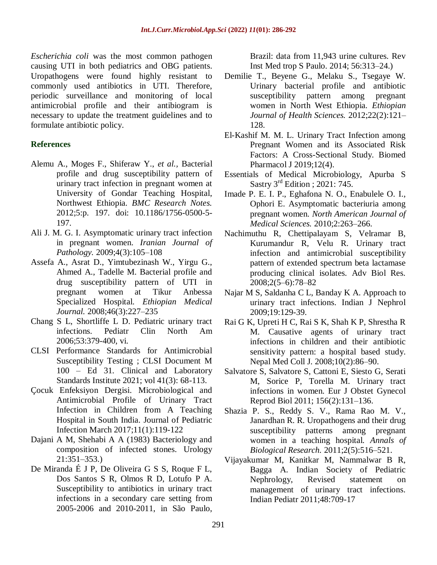*Escherichia coli* was the most common pathogen causing UTI in both pediatrics and OBG patients. Uropathogens were found highly resistant to commonly used antibiotics in UTI. Therefore, periodic surveillance and monitoring of local antimicrobial profile and their antibiogram is necessary to update the treatment guidelines and to formulate antibiotic policy.

### **References**

- Alemu A., Moges F., Shiferaw Y., *et al.,* Bacterial profile and drug susceptibility pattern of urinary tract infection in pregnant women at University of Gondar Teaching Hospital, Northwest Ethiopia. *BMC Research Notes.*  2012;5:p. 197. doi: 10.1186/1756-0500-5- 197.
- Ali J. M. G. I. Asymptomatic urinary tract infection in pregnant women. *Iranian Journal of Pathology.* 2009;4(3):105–108
- Assefa A., Asrat D., Yimtubezinash W., Yirgu G., Ahmed A., Tadelle M. Bacterial profile and drug susceptibility pattern of UTI in pregnant women at Tikur Anbessa Specialized Hospital. *Ethiopian Medical Journal.* 2008;46(3):227–235
- Chang S L, Shortliffe L D. Pediatric urinary tract infections. Pediatr Clin North Am 2006;53:379-400, vi.
- CLSI Performance Standards for Antimicrobial Susceptibility Testing ; CLSI Document M 100 – Ed 31. Clinical and Laboratory Standards Institute 2021; vol 41(3): 68-113.
- [Çocuk Enfeksiyon Dergisi.](https://www.researchgate.net/journal/Cocuk-Enfeksiyon-Dergisi-Journal-of-Pediatric-Infection-1308-5271) Microbiological and [Antimicrobial Profile of Urinary Tract](https://www.researchgate.net/journal/Cocuk-Enfeksiyon-Dergisi-Journal-of-Pediatric-Infection-1308-5271)  [Infection in Children from A Teaching](https://www.researchgate.net/journal/Cocuk-Enfeksiyon-Dergisi-Journal-of-Pediatric-Infection-1308-5271)  [Hospital in South India. Journal of Pediatric](https://www.researchgate.net/journal/Cocuk-Enfeksiyon-Dergisi-Journal-of-Pediatric-Infection-1308-5271)  [Infection](https://www.researchgate.net/journal/Cocuk-Enfeksiyon-Dergisi-Journal-of-Pediatric-Infection-1308-5271) March 2017;11(1):119-122
- Dajani A M, Shehabi A A (1983) Bacteriology and composition of infected stones. Urology 21:351–353.)
- De Miranda É J P, De Oliveira G S S, Roque F L, Dos Santos S R, Olmos R D, Lotufo P A. Susceptibility to antibiotics in urinary tract infections in a secondary care setting from 2005-2006 and 2010-2011, in São Paulo,

Brazil: data from 11,943 urine cultures. Rev Inst Med trop S Paulo. 2014; 56:313–24.)

- Demilie T., Beyene G., Melaku S., Tsegaye W. Urinary bacterial profile and antibiotic susceptibility pattern among pregnant women in North West Ethiopia. *Ethiopian Journal of Health Sciences.* 2012;22(2):121– 128.
- El-Kashif M. M. L. Urinary Tract Infection among Pregnant Women and its Associated Risk Factors: A Cross-Sectional Study. Biomed Pharmacol J 2019;12(4).
- Essentials of Medical Microbiology, Apurba S Sastry  $3^{\text{rd}}$  Edition ; 2021: 745.
- Imade P. E. I. P., Eghafona N. O., Enabulele O. I., Ophori E. Asymptomatic bacteriuria among pregnant women. *North American Journal of Medical Sciences.* 2010;2:263–266.
- Nachimuthu R, Chettipalayam S, Velramar B, Kurumandur R, Velu R. Urinary tract infection and antimicrobial susceptibility pattern of extended spectrum beta lactamase producing clinical isolates. Adv Biol Res. 2008;2(5–6):78–82
- Najar M S, Saldanha C L, Banday K A. Approach to urinary tract infections. Indian J Nephrol 2009;19:129-39.
- Rai G K, Upreti H C, Rai S K, Shah K P, Shrestha R M. Causative agents of urinary tract infections in children and their antibiotic sensitivity pattern: a hospital based study. Nepal Med Coll J. 2008;10(2):86–90.
- Salvatore S, Salvatore S, Cattoni E, Siesto G, Serati M, Sorice P, Torella M. Urinary tract infections in women. Eur J Obstet Gynecol Reprod Biol 2011; 156(2):131–136.
- Shazia P. S., Reddy S. V., Rama Rao M. V., Janardhan R. R. Uropathogens and their drug susceptibility patterns among pregnant women in a teaching hospital. *Annals of Biological Research.* 2011;2(5):516–521.
- Vijayakumar M, Kanitkar M, Nammalwar B R, Bagga A. Indian Society of Pediatric Nephrology, Revised statement on management of urinary tract infections. Indian Pediatr 2011;48:709-17